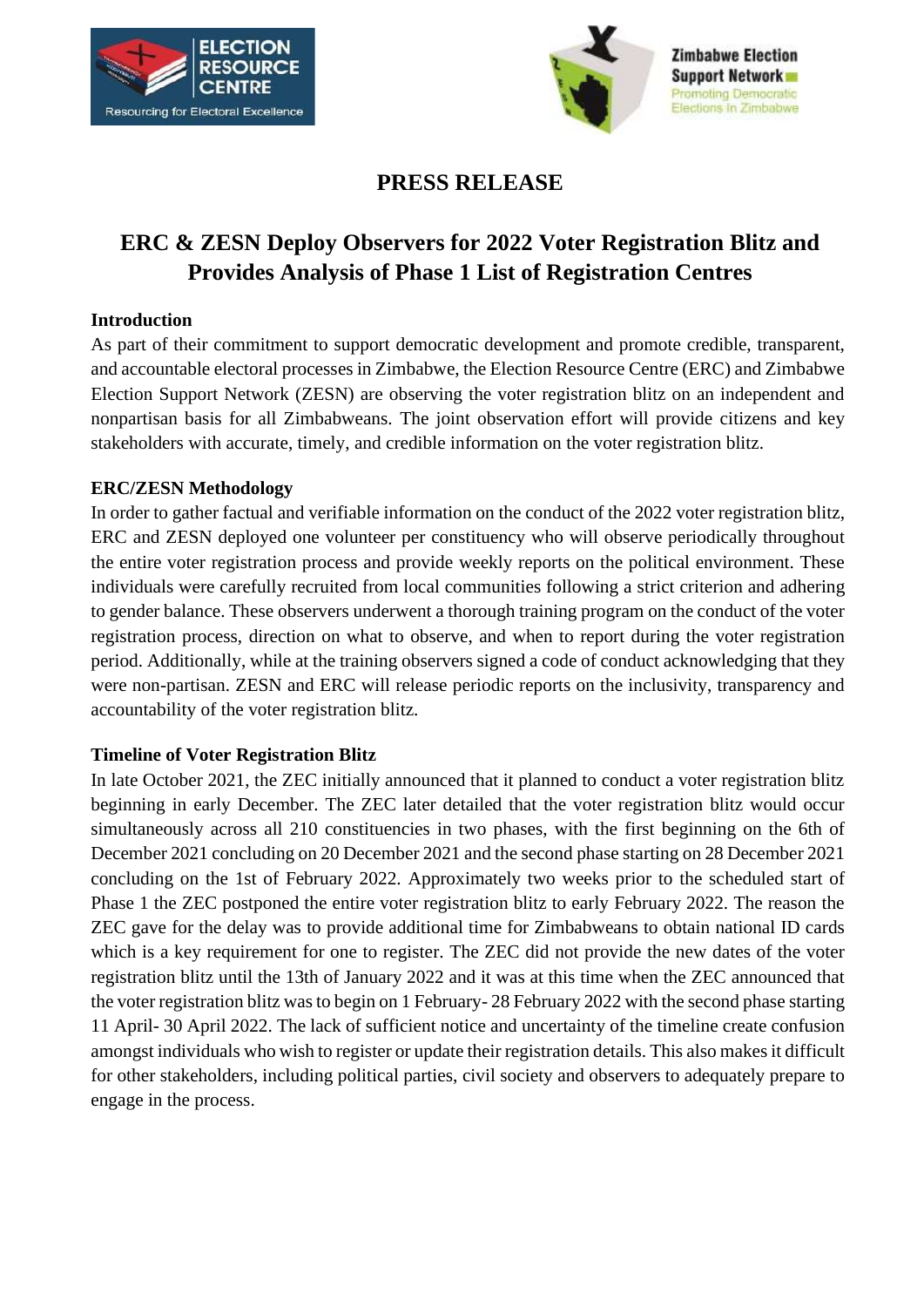



# **PRESS RELEASE**

# **ERC & ZESN Deploy Observers for 2022 Voter Registration Blitz and Provides Analysis of Phase 1 List of Registration Centres**

#### **Introduction**

As part of their commitment to support democratic development and promote credible, transparent, and accountable electoral processes in Zimbabwe, the Election Resource Centre (ERC) and Zimbabwe Election Support Network (ZESN) are observing the voter registration blitz on an independent and nonpartisan basis for all Zimbabweans. The joint observation effort will provide citizens and key stakeholders with accurate, timely, and credible information on the voter registration blitz.

#### **ERC/ZESN Methodology**

In order to gather factual and verifiable information on the conduct of the 2022 voter registration blitz, ERC and ZESN deployed one volunteer per constituency who will observe periodically throughout the entire voter registration process and provide weekly reports on the political environment. These individuals were carefully recruited from local communities following a strict criterion and adhering to gender balance. These observers underwent a thorough training program on the conduct of the voter registration process, direction on what to observe, and when to report during the voter registration period. Additionally, while at the training observers signed a code of conduct acknowledging that they were non-partisan. ZESN and ERC will release periodic reports on the inclusivity, transparency and accountability of the voter registration blitz.

#### **Timeline of Voter Registration Blitz**

In late October 2021, the ZEC initially announced that it planned to conduct a voter registration blitz beginning in early December. The ZEC later detailed that the voter registration blitz would occur simultaneously across all 210 constituencies in two phases, with the first beginning on the 6th of December 2021 concluding on 20 December 2021 and the second phase starting on 28 December 2021 concluding on the 1st of February 2022. Approximately two weeks prior to the scheduled start of Phase 1 the ZEC postponed the entire voter registration blitz to early February 2022. The reason the ZEC gave for the delay was to provide additional time for Zimbabweans to obtain national ID cards which is a key requirement for one to register. The ZEC did not provide the new dates of the voter registration blitz until the 13th of January 2022 and it was at this time when the ZEC announced that the voter registration blitz was to begin on 1 February- 28 February 2022 with the second phase starting 11 April- 30 April 2022. The lack of sufficient notice and uncertainty of the timeline create confusion amongst individuals who wish to register or update their registration details. This also makes it difficult for other stakeholders, including political parties, civil society and observers to adequately prepare to engage in the process.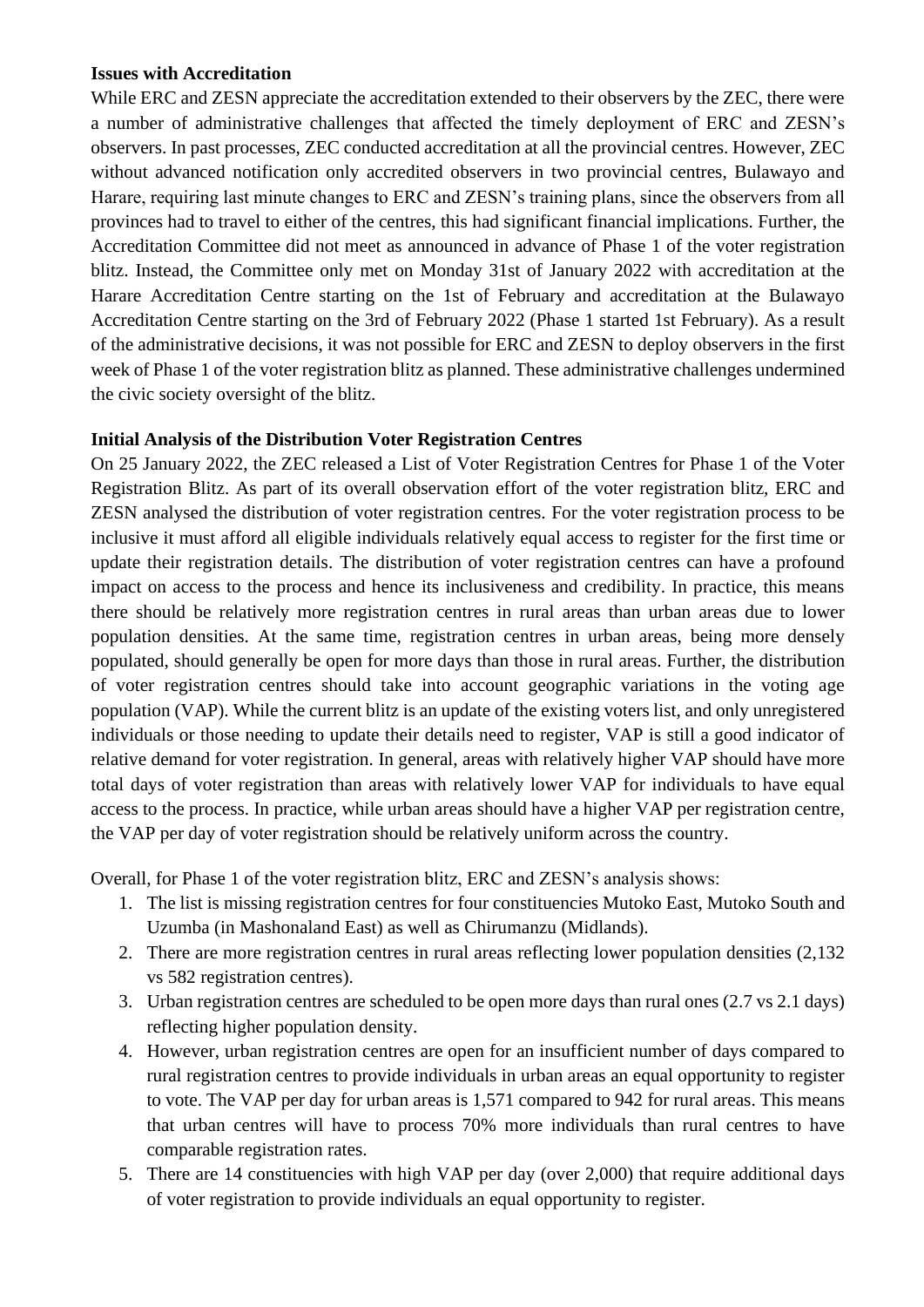#### **Issues with Accreditation**

While ERC and ZESN appreciate the accreditation extended to their observers by the ZEC, there were a number of administrative challenges that affected the timely deployment of ERC and ZESN's observers. In past processes, ZEC conducted accreditation at all the provincial centres. However, ZEC without advanced notification only accredited observers in two provincial centres, Bulawayo and Harare, requiring last minute changes to ERC and ZESN's training plans, since the observers from all provinces had to travel to either of the centres, this had significant financial implications. Further, the Accreditation Committee did not meet as announced in advance of Phase 1 of the voter registration blitz. Instead, the Committee only met on Monday 31st of January 2022 with accreditation at the Harare Accreditation Centre starting on the 1st of February and accreditation at the Bulawayo Accreditation Centre starting on the 3rd of February 2022 (Phase 1 started 1st February). As a result of the administrative decisions, it was not possible for ERC and ZESN to deploy observers in the first week of Phase 1 of the voter registration blitz as planned. These administrative challenges undermined the civic society oversight of the blitz.

## **Initial Analysis of the Distribution Voter Registration Centres**

On 25 January 2022, the ZEC released a List of Voter Registration Centres for Phase 1 of the Voter Registration Blitz. As part of its overall observation effort of the voter registration blitz, ERC and ZESN analysed the distribution of voter registration centres. For the voter registration process to be inclusive it must afford all eligible individuals relatively equal access to register for the first time or update their registration details. The distribution of voter registration centres can have a profound impact on access to the process and hence its inclusiveness and credibility. In practice, this means there should be relatively more registration centres in rural areas than urban areas due to lower population densities. At the same time, registration centres in urban areas, being more densely populated, should generally be open for more days than those in rural areas. Further, the distribution of voter registration centres should take into account geographic variations in the voting age population (VAP). While the current blitz is an update of the existing voters list, and only unregistered individuals or those needing to update their details need to register, VAP is still a good indicator of relative demand for voter registration. In general, areas with relatively higher VAP should have more total days of voter registration than areas with relatively lower VAP for individuals to have equal access to the process. In practice, while urban areas should have a higher VAP per registration centre, the VAP per day of voter registration should be relatively uniform across the country.

Overall, for Phase 1 of the voter registration blitz, ERC and ZESN's analysis shows:

- 1. The list is missing registration centres for four constituencies Mutoko East, Mutoko South and Uzumba (in Mashonaland East) as well as Chirumanzu (Midlands).
- 2. There are more registration centres in rural areas reflecting lower population densities (2,132 vs 582 registration centres).
- 3. Urban registration centres are scheduled to be open more days than rural ones (2.7 vs 2.1 days) reflecting higher population density.
- 4. However, urban registration centres are open for an insufficient number of days compared to rural registration centres to provide individuals in urban areas an equal opportunity to register to vote. The VAP per day for urban areas is 1,571 compared to 942 for rural areas. This means that urban centres will have to process 70% more individuals than rural centres to have comparable registration rates.
- 5. There are 14 constituencies with high VAP per day (over 2,000) that require additional days of voter registration to provide individuals an equal opportunity to register.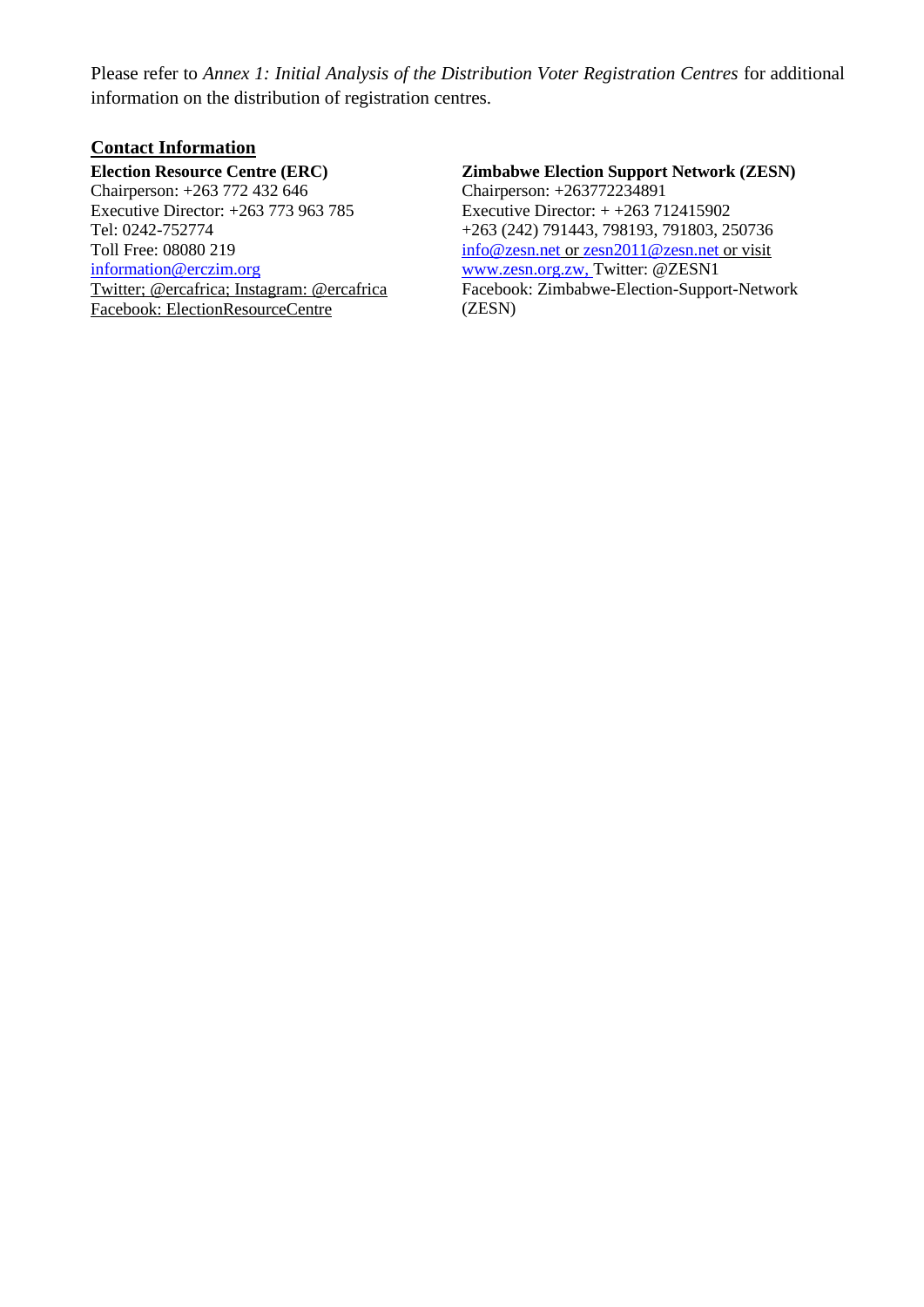Please refer to *Annex 1: Initial Analysis of the Distribution Voter Registration Centres* for additional information on the distribution of registration centres.

#### **Contact Information**

#### **Election Resource Centre (ERC)**

Chairperson: +263 772 432 646 Executive Director: +263 773 963 785 Tel: 0242-752774 Toll Free: 08080 219 information@erczim.org Twitter; @ercafrica; Instagram: @ercafrica Facebook: ElectionResourceCentre

# **Zimbabwe Election Support Network (ZESN)**

Chairperson: +263772234891 Executive Director: + +263 712415902 +263 (242) 791443, 798193, 791803, 250736 info@zesn.net or zesn2011@zesn.net or visit [www.zesn.org.zw,](http://www.zesn.org.zw/) Twitter: @ZESN1 Facebook: Zimbabwe-Election-Support-Network (ZESN)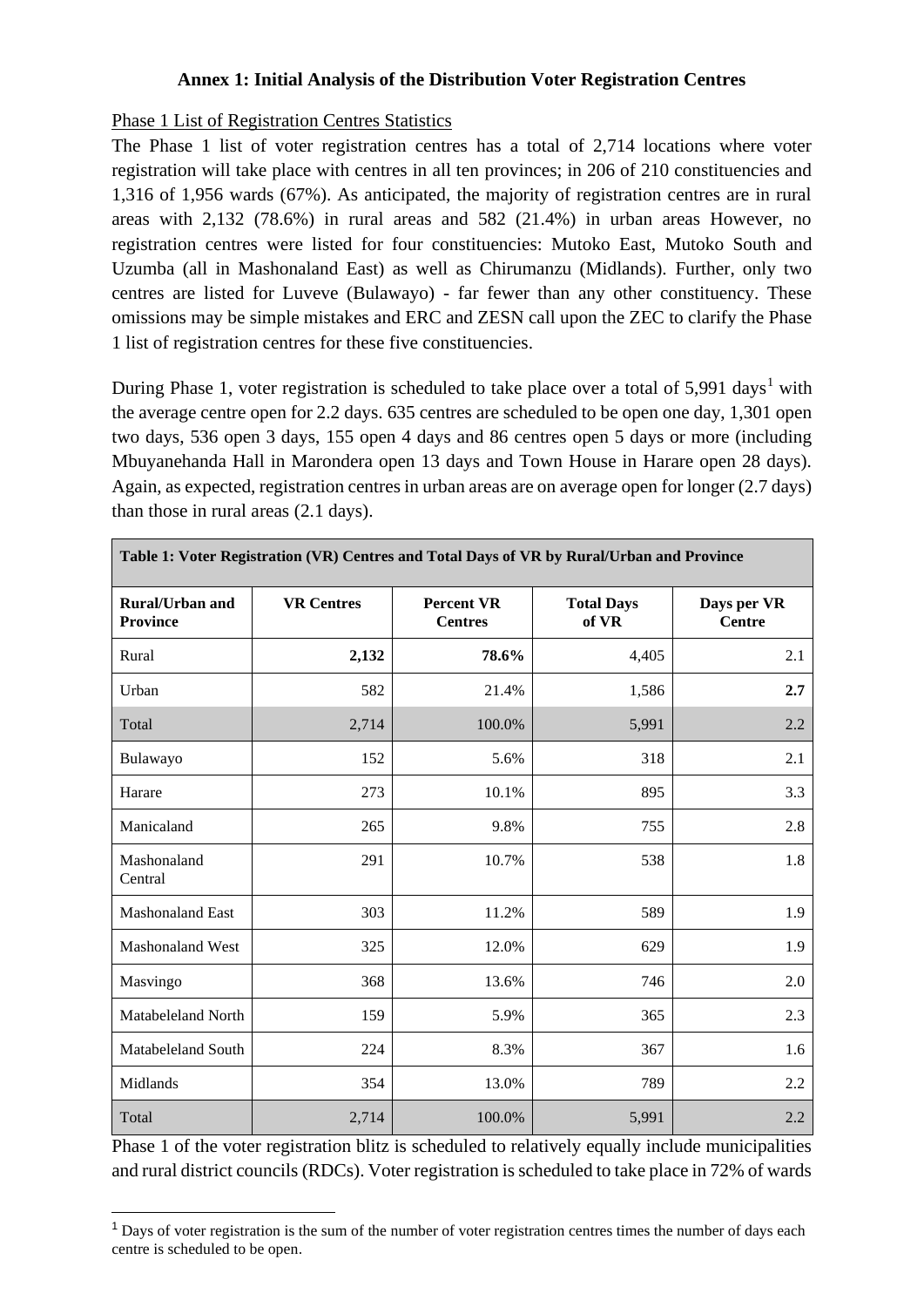### **Annex 1: Initial Analysis of the Distribution Voter Registration Centres**

#### Phase 1 List of Registration Centres Statistics

The Phase 1 list of voter registration centres has a total of 2,714 locations where voter registration will take place with centres in all ten provinces; in 206 of 210 constituencies and 1,316 of 1,956 wards (67%). As anticipated, the majority of registration centres are in rural areas with 2,132 (78.6%) in rural areas and 582 (21.4%) in urban areas However, no registration centres were listed for four constituencies: Mutoko East, Mutoko South and Uzumba (all in Mashonaland East) as well as Chirumanzu (Midlands). Further, only two centres are listed for Luveve (Bulawayo) - far fewer than any other constituency. These omissions may be simple mistakes and ERC and ZESN call upon the ZEC to clarify the Phase 1 list of registration centres for these five constituencies.

During Phase 1, voter registration is scheduled to take place over a total of  $5,991$  days<sup>1</sup> with the average centre open for 2.2 days. 635 centres are scheduled to be open one day, 1,301 open two days, 536 open 3 days, 155 open 4 days and 86 centres open 5 days or more (including Mbuyanehanda Hall in Marondera open 13 days and Town House in Harare open 28 days). Again, as expected, registration centres in urban areas are on average open for longer (2.7 days) than those in rural areas (2.1 days).

| Table 1: Voter Registration (VR) Centres and Total Days of VR by Rural/Urban and Province |                   |                                     |                            |                              |  |  |
|-------------------------------------------------------------------------------------------|-------------------|-------------------------------------|----------------------------|------------------------------|--|--|
| <b>Rural/Urban and</b><br><b>Province</b>                                                 | <b>VR Centres</b> | <b>Percent VR</b><br><b>Centres</b> | <b>Total Days</b><br>of VR | Days per VR<br><b>Centre</b> |  |  |
| Rural                                                                                     | 2,132             | 78.6%                               | 4,405                      | 2.1                          |  |  |
| Urban                                                                                     | 582               | 21.4%                               | 1,586                      | 2.7                          |  |  |
| Total                                                                                     | 2,714             | 100.0%                              | 5,991                      | 2.2                          |  |  |
| Bulawayo                                                                                  | 152               | 5.6%                                | 318                        | 2.1                          |  |  |
| Harare                                                                                    | 273               | 10.1%                               | 895                        | 3.3                          |  |  |
| Manicaland                                                                                | 265               | 9.8%                                | 755                        | 2.8                          |  |  |
| Mashonaland<br>Central                                                                    | 291               | 10.7%                               | 538                        | 1.8                          |  |  |
| <b>Mashonaland East</b>                                                                   | 303               | 11.2%                               | 589                        | 1.9                          |  |  |
| Mashonaland West                                                                          | 325               | 12.0%                               | 629                        | 1.9                          |  |  |
| Masvingo                                                                                  | 368               | 13.6%                               | 746                        | 2.0                          |  |  |
| Matabeleland North                                                                        | 159               | 5.9%                                | 365                        | 2.3                          |  |  |
| Matabeleland South                                                                        | 224               | 8.3%                                | 367                        | 1.6                          |  |  |
| Midlands                                                                                  | 354               | 13.0%                               | 789                        | 2.2                          |  |  |
| Total                                                                                     | 2,714             | 100.0%                              | 5,991                      | 2.2                          |  |  |

Phase 1 of the voter registration blitz is scheduled to relatively equally include municipalities and rural district councils (RDCs). Voter registration is scheduled to take place in 72% of wards

 $1$  Days of voter registration is the sum of the number of voter registration centres times the number of days each centre is scheduled to be open.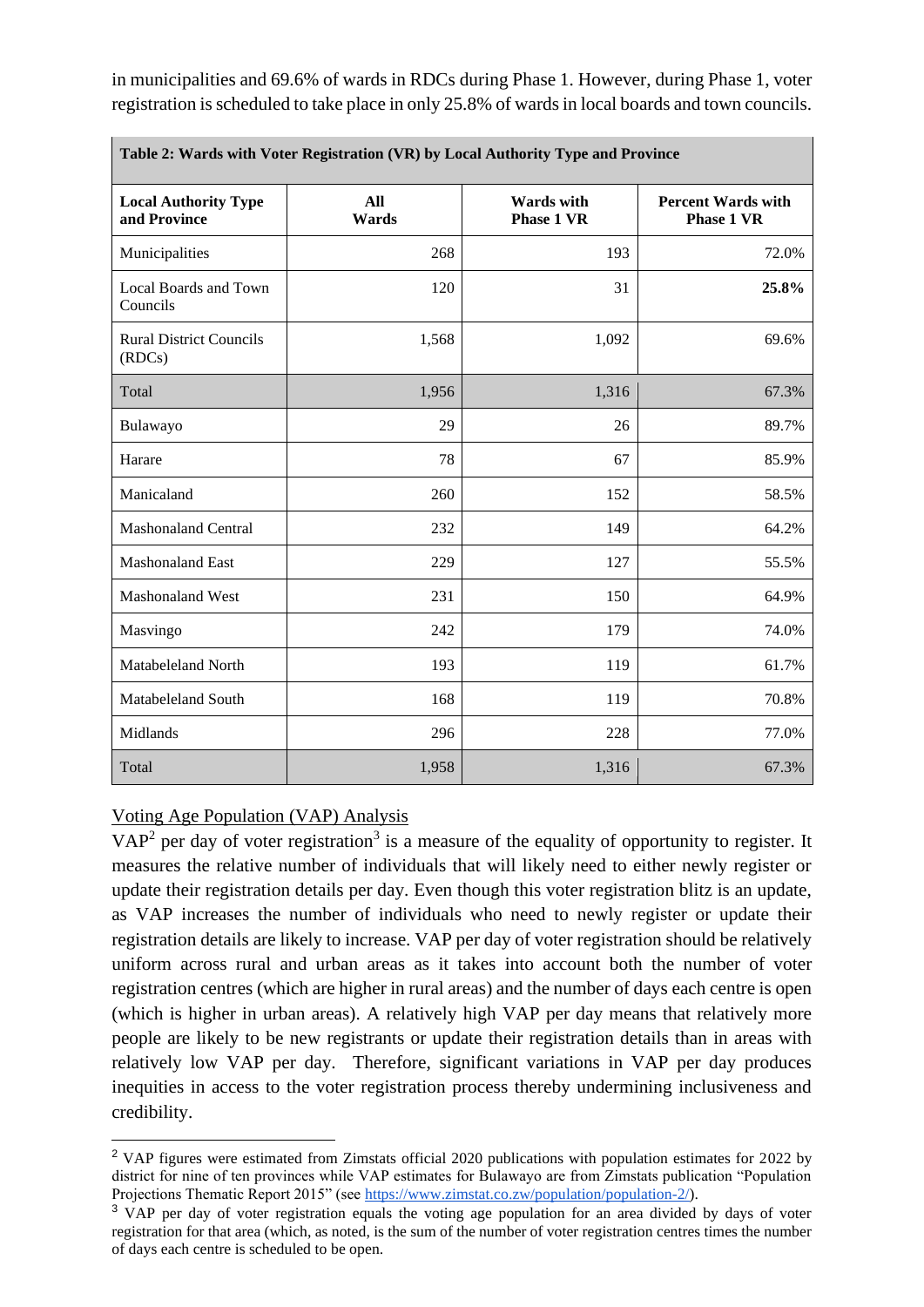in municipalities and 69.6% of wards in RDCs during Phase 1. However, during Phase 1, voter registration is scheduled to take place in only 25.8% of wards in local boards and town councils.

| Table 2: Wards with Voter Registration (VR) by Local Authority Type and Province |              |                                        |                                                |  |  |  |
|----------------------------------------------------------------------------------|--------------|----------------------------------------|------------------------------------------------|--|--|--|
| <b>Local Authority Type</b><br>and Province                                      | All<br>Wards | <b>Wards</b> with<br><b>Phase 1 VR</b> | <b>Percent Wards with</b><br><b>Phase 1 VR</b> |  |  |  |
| Municipalities                                                                   | 268          | 193                                    | 72.0%                                          |  |  |  |
| Local Boards and Town<br>Councils                                                | 120          | 31                                     | 25.8%                                          |  |  |  |
| <b>Rural District Councils</b><br>(RDCs)                                         | 1,568        | 1,092                                  | 69.6%                                          |  |  |  |
| Total                                                                            | 1,956        | 1,316                                  | 67.3%                                          |  |  |  |
| Bulawayo                                                                         | 29           | 26                                     | 89.7%                                          |  |  |  |
| Harare                                                                           | 78           | 67                                     | 85.9%                                          |  |  |  |
| Manicaland                                                                       | 260          | 152                                    | 58.5%                                          |  |  |  |
| <b>Mashonaland Central</b>                                                       | 232          | 149                                    | 64.2%                                          |  |  |  |
| <b>Mashonaland East</b>                                                          | 229          | 127                                    | 55.5%                                          |  |  |  |
| <b>Mashonaland West</b>                                                          | 231          | 150                                    | 64.9%                                          |  |  |  |
| Masvingo                                                                         | 242          | 179                                    | 74.0%                                          |  |  |  |
| Matabeleland North                                                               | 193          | 119                                    | 61.7%                                          |  |  |  |
| Matabeleland South                                                               | 168          | 119                                    | 70.8%                                          |  |  |  |
| Midlands                                                                         | 296          | 228                                    | 77.0%                                          |  |  |  |
| Total                                                                            | 1,958        | 1,316                                  | 67.3%                                          |  |  |  |

## Voting Age Population (VAP) Analysis

 $VAP<sup>2</sup>$  per day of voter registration<sup>3</sup> is a measure of the equality of opportunity to register. It measures the relative number of individuals that will likely need to either newly register or update their registration details per day. Even though this voter registration blitz is an update, as VAP increases the number of individuals who need to newly register or update their registration details are likely to increase. VAP per day of voter registration should be relatively uniform across rural and urban areas as it takes into account both the number of voter registration centres (which are higher in rural areas) and the number of days each centre is open (which is higher in urban areas). A relatively high VAP per day means that relatively more people are likely to be new registrants or update their registration details than in areas with relatively low VAP per day. Therefore, significant variations in VAP per day produces inequities in access to the voter registration process thereby undermining inclusiveness and credibility.

<sup>&</sup>lt;sup>2</sup> VAP figures were estimated from Zimstats official 2020 publications with population estimates for 2022 by district for nine of ten provinces while VAP estimates for Bulawayo are from Zimstats publication "Population Projections Thematic Report 2015" (see [https://www.zimstat.co.zw/population/population-2/\)](https://www.zimstat.co.zw/population/population-2/).

<sup>&</sup>lt;sup>3</sup> VAP per day of voter registration equals the voting age population for an area divided by days of voter registration for that area (which, as noted, is the sum of the number of voter registration centres times the number of days each centre is scheduled to be open.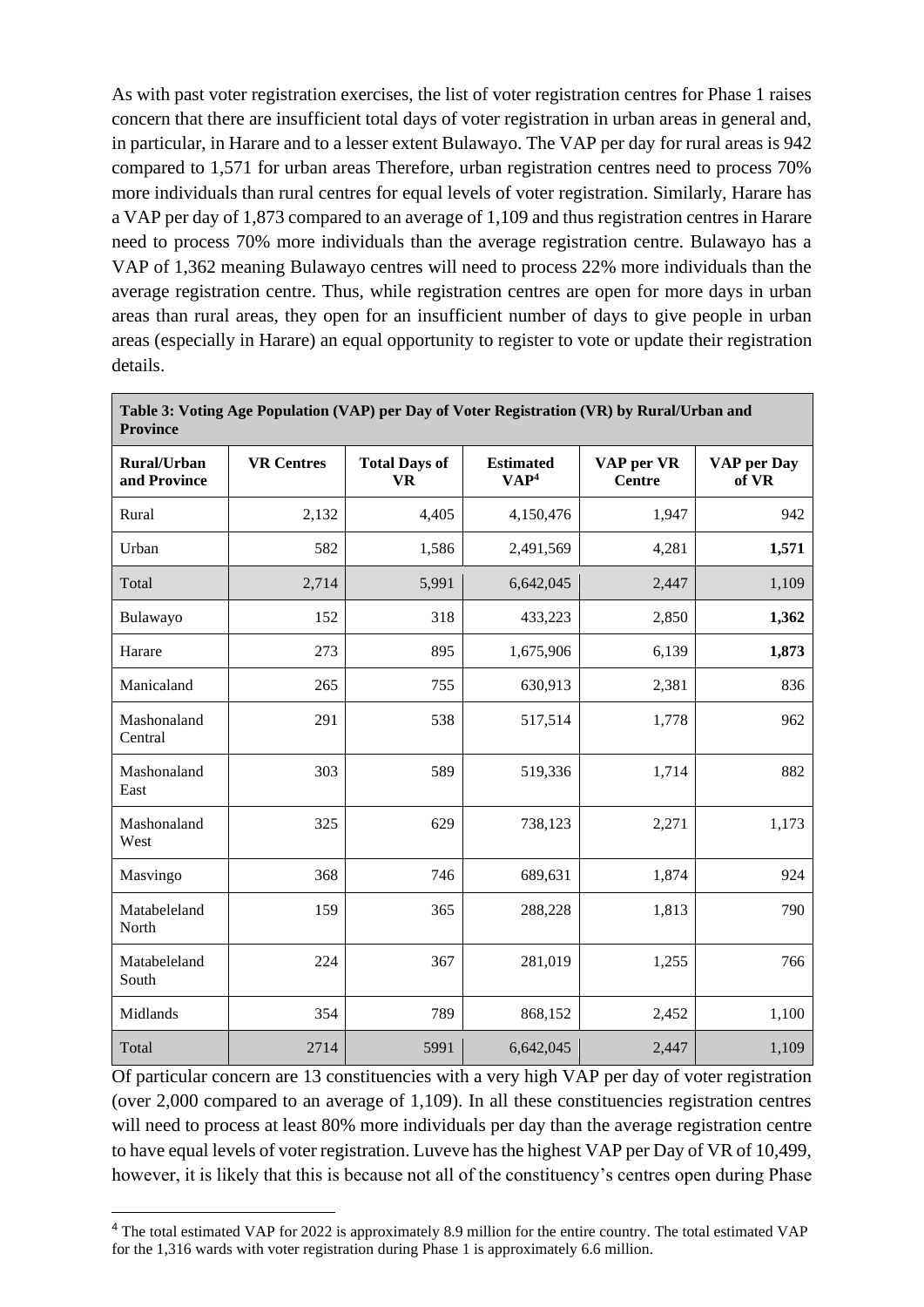As with past voter registration exercises, the list of voter registration centres for Phase 1 raises concern that there are insufficient total days of voter registration in urban areas in general and, in particular, in Harare and to a lesser extent Bulawayo. The VAP per day for rural areas is 942 compared to 1,571 for urban areas Therefore, urban registration centres need to process 70% more individuals than rural centres for equal levels of voter registration. Similarly, Harare has a VAP per day of 1,873 compared to an average of 1,109 and thus registration centres in Harare need to process 70% more individuals than the average registration centre. Bulawayo has a VAP of 1,362 meaning Bulawayo centres will need to process 22% more individuals than the average registration centre. Thus, while registration centres are open for more days in urban areas than rural areas, they open for an insufficient number of days to give people in urban areas (especially in Harare) an equal opportunity to register to vote or update their registration details.

| <b>Province</b>                    |                   |                                   |                                      |                             |                      |  |
|------------------------------------|-------------------|-----------------------------------|--------------------------------------|-----------------------------|----------------------|--|
| <b>Rural/Urban</b><br>and Province | <b>VR Centres</b> | <b>Total Days of</b><br><b>VR</b> | <b>Estimated</b><br>VAP <sup>4</sup> | VAP per VR<br><b>Centre</b> | VAP per Day<br>of VR |  |
| Rural                              | 2,132             | 4,405                             | 4,150,476                            | 1,947                       | 942                  |  |
| Urban                              | 582               | 1,586                             | 2,491,569                            | 4,281                       | 1,571                |  |
| Total                              | 2,714             | 5,991                             | 6,642,045                            | 2,447                       | 1,109                |  |
| Bulawayo                           | 152               | 318                               | 433,223                              | 2,850                       | 1,362                |  |
| Harare                             | 273               | 895                               | 1,675,906                            | 6,139                       | 1,873                |  |
| Manicaland                         | 265               | 755                               | 630,913                              | 2,381                       | 836                  |  |
| Mashonaland<br>Central             | 291               | 538                               | 517,514                              | 1,778                       | 962                  |  |
| Mashonaland<br>East                | 303               | 589                               | 519,336                              | 1,714                       | 882                  |  |
| Mashonaland<br>West                | 325               | 629                               | 738,123                              | 2,271                       | 1,173                |  |
| Masvingo                           | 368               | 746                               | 689,631                              | 1,874                       | 924                  |  |
| Matabeleland<br>North              | 159               | 365                               | 288,228                              | 1,813                       | 790                  |  |
| Matabeleland<br>South              | 224               | 367                               | 281,019                              | 1,255                       | 766                  |  |
| Midlands                           | 354               | 789                               | 868,152                              | 2,452                       | 1,100                |  |
| Total                              | 2714              | 5991                              | 6,642,045                            | 2,447                       | 1,109                |  |

**Table 3: Voting Age Population (VAP) per Day of Voter Registration (VR) by Rural/Urban and** 

Of particular concern are 13 constituencies with a very high VAP per day of voter registration (over 2,000 compared to an average of 1,109). In all these constituencies registration centres will need to process at least 80% more individuals per day than the average registration centre to have equal levels of voter registration. Luveve has the highest VAP per Day of VR of 10,499, however, it is likely that this is because not all of the constituency's centres open during Phase

<sup>&</sup>lt;sup>4</sup> The total estimated VAP for 2022 is approximately 8.9 million for the entire country. The total estimated VAP for the 1,316 wards with voter registration during Phase 1 is approximately 6.6 million.